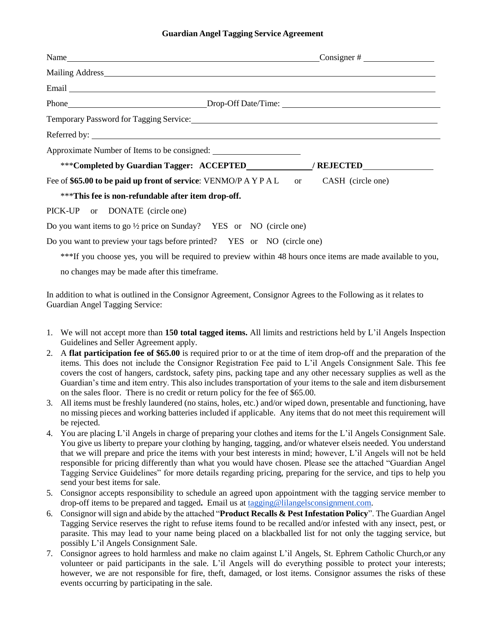## **Guardian Angel Tagging Service Agreement**

| Email Land and the contract of the contract of the contract of the contract of the contract of the contract of the contract of the contract of the contract of the contract of the contract of the contract of the contract of |  |  |  |
|--------------------------------------------------------------------------------------------------------------------------------------------------------------------------------------------------------------------------------|--|--|--|
| Phone____________________________Drop-Off Date/Time: ____________________________                                                                                                                                              |  |  |  |
| Temporary Password for Tagging Service: Manual Manual Account of Tagging Service:                                                                                                                                              |  |  |  |
|                                                                                                                                                                                                                                |  |  |  |
|                                                                                                                                                                                                                                |  |  |  |
| ***Completed by Guardian Tagger: ACCEPTED / REJECTED                                                                                                                                                                           |  |  |  |
| Fee of \$65.00 to be paid up front of service: VENMO/P A Y P A L or CASH (circle one)                                                                                                                                          |  |  |  |
| ***This fee is non-refundable after item drop-off.                                                                                                                                                                             |  |  |  |
| PICK-UP or DONATE (circle one)                                                                                                                                                                                                 |  |  |  |
| Do you want items to go $\frac{1}{2}$ price on Sunday? YES or NO (circle one)                                                                                                                                                  |  |  |  |
| Do you want to preview your tags before printed? YES or NO (circle one)                                                                                                                                                        |  |  |  |

\*\*\*If you choose yes, you will be required to preview within 48 hours once items are made available to you,

no changes may be made after this timeframe.

In addition to what is outlined in the Consignor Agreement, Consignor Agrees to the Following as it relates to Guardian Angel Tagging Service:

- 1. We will not accept more than **150 total tagged items.** All limits and restrictions held by L'il Angels Inspection Guidelines and Seller Agreement apply.
- 2. A **flat participation fee of \$65.00** is required prior to or at the time of item drop-off and the preparation of the items. This does not include the Consignor Registration Fee paid to L'il Angels Consignment Sale. This fee covers the cost of hangers, cardstock, safety pins, packing tape and any other necessary supplies as well as the Guardian's time and item entry. This also includes transportation of your items to the sale and item disbursement on the sales floor. There is no credit or return policy for the fee of \$65.00.
- 3. All items must be freshly laundered (no stains, holes, etc.) and/or wiped down, presentable and functioning, have no missing pieces and working batteries included if applicable. Any items that do not meet this requirement will be rejected.
- 4. You are placing L'il Angels in charge of preparing your clothes and items for the L'il Angels Consignment Sale. You give us liberty to prepare your clothing by hanging, tagging, and/or whatever elseis needed. You understand that we will prepare and price the items with your best interests in mind; however, L'il Angels will not be held responsible for pricing differently than what you would have chosen. Please see the attached "Guardian Angel Tagging Service Guidelines" for more details regarding pricing, preparing for the service, and tips to help you send your best items for sale.
- 5. Consignor accepts responsibility to schedule an agreed upon appointment with the tagging service member to drop-off items to be prepared and tagged**.** Email us at [tagging@lilangelsconsignment.com.](mailto:tagging@lilangelsconsignment.com)
- 6. Consignor will sign and abide by the attached "**Product Recalls & Pest Infestation Policy**". The Guardian Angel Tagging Service reserves the right to refuse items found to be recalled and/or infested with any insect, pest, or parasite. This may lead to your name being placed on a blackballed list for not only the tagging service, but possibly L'il Angels Consignment Sale.
- 7. Consignor agrees to hold harmless and make no claim against L'il Angels, St. Ephrem Catholic Church,or any volunteer or paid participants in the sale. L'il Angels will do everything possible to protect your interests; however, we are not responsible for fire, theft, damaged, or lost items. Consignor assumes the risks of these events occurring by participating in the sale.